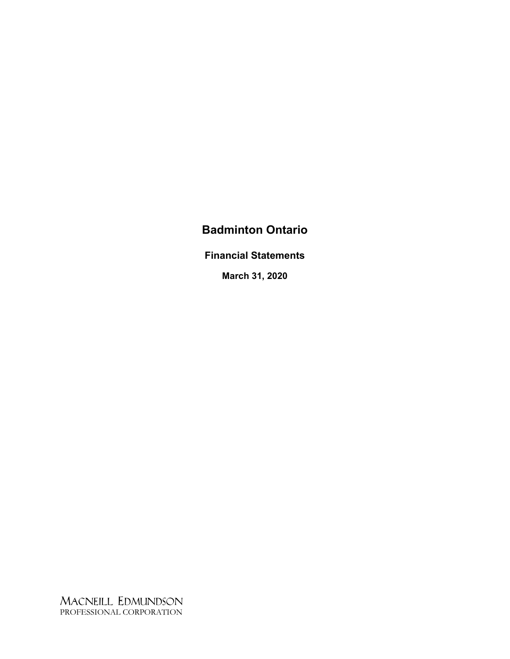**Financial Statements**

**March 31, 2020**

MACNEILL EDMUNDSON PROFESSIONAL CORPORATION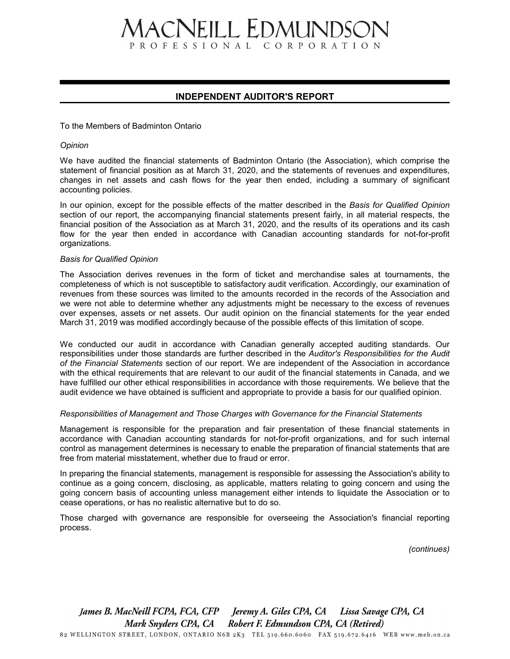# **IACNEILL EDMUNDSON** PROFESSIONAL CORPORATION

#### **INDEPENDENT AUDITOR'S REPORT**

#### To the Members of Badminton Ontario

#### *Opinion*

We have audited the financial statements of Badminton Ontario (the Association), which comprise the statement of financial position as at March 31, 2020, and the statements of revenues and expenditures, changes in net assets and cash flows for the year then ended, including a summary of significant accounting policies.

In our opinion, except for the possible effects of the matter described in the *Basis for Qualified Opinion* section of our report, the accompanying financial statements present fairly, in all material respects, the financial position of the Association as at March 31, 2020, and the results of its operations and its cash flow for the year then ended in accordance with Canadian accounting standards for not-for-profit organizations.

#### *Basis for Qualified Opinion*

The Association derives revenues in the form of ticket and merchandise sales at tournaments, the completeness of which is not susceptible to satisfactory audit verification. Accordingly, our examination of revenues from these sources was limited to the amounts recorded in the records of the Association and we were not able to determine whether any adjustments might be necessary to the excess of revenues over expenses, assets or net assets. Our audit opinion on the financial statements for the year ended March 31, 2019 was modified accordingly because of the possible effects of this limitation of scope.

We conducted our audit in accordance with Canadian generally accepted auditing standards. Our responsibilities under those standards are further described in the *Auditor's Responsibilities for the Audit of the Financial Statements* section of our report. We are independent of the Association in accordance with the ethical requirements that are relevant to our audit of the financial statements in Canada, and we have fulfilled our other ethical responsibilities in accordance with those requirements. We believe that the audit evidence we have obtained is sufficient and appropriate to provide a basis for our qualified opinion.

#### *Responsibilities of Management and Those Charges with Governance for the Financial Statements*

Management is responsible for the preparation and fair presentation of these financial statements in accordance with Canadian accounting standards for not-for-profit organizations, and for such internal control as management determines is necessary to enable the preparation of financial statements that are free from material misstatement, whether due to fraud or error.

In preparing the financial statements, management is responsible for assessing the Association's ability to continue as a going concern, disclosing, as applicable, matters relating to going concern and using the going concern basis of accounting unless management either intends to liquidate the Association or to cease operations, or has no realistic alternative but to do so.

Those charged with governance are responsible for overseeing the Association's financial reporting process.

*(continues)*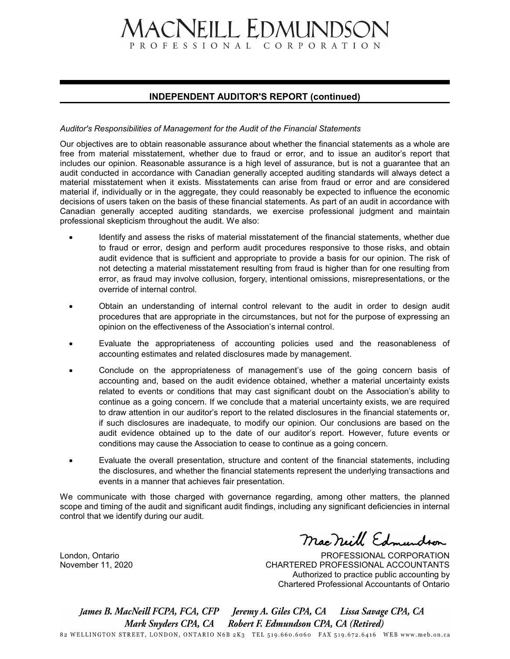# **1ACNEILL EDMUNDSON** PROFESSIONAL CORPORATION

#### **INDEPENDENT AUDITOR'S REPORT (continued)**

#### *Auditor's Responsibilities of Management for the Audit of the Financial Statements*

Our objectives are to obtain reasonable assurance about whether the financial statements as a whole are free from material misstatement, whether due to fraud or error, and to issue an auditor's report that includes our opinion. Reasonable assurance is a high level of assurance, but is not a guarantee that an audit conducted in accordance with Canadian generally accepted auditing standards will always detect a material misstatement when it exists. Misstatements can arise from fraud or error and are considered material if, individually or in the aggregate, they could reasonably be expected to influence the economic decisions of users taken on the basis of these financial statements. As part of an audit in accordance with Canadian generally accepted auditing standards, we exercise professional judgment and maintain professional skepticism throughout the audit. We also:

- Identify and assess the risks of material misstatement of the financial statements, whether due to fraud or error, design and perform audit procedures responsive to those risks, and obtain audit evidence that is sufficient and appropriate to provide a basis for our opinion. The risk of not detecting a material misstatement resulting from fraud is higher than for one resulting from error, as fraud may involve collusion, forgery, intentional omissions, misrepresentations, or the override of internal control.
- Obtain an understanding of internal control relevant to the audit in order to design audit procedures that are appropriate in the circumstances, but not for the purpose of expressing an opinion on the effectiveness of the Association's internal control.
- Evaluate the appropriateness of accounting policies used and the reasonableness of accounting estimates and related disclosures made by management.
- Conclude on the appropriateness of management's use of the going concern basis of accounting and, based on the audit evidence obtained, whether a material uncertainty exists related to events or conditions that may cast significant doubt on the Association's ability to continue as a going concern. If we conclude that a material uncertainty exists, we are required to draw attention in our auditor's report to the related disclosures in the financial statements or, if such disclosures are inadequate, to modify our opinion. Our conclusions are based on the audit evidence obtained up to the date of our auditor's report. However, future events or conditions may cause the Association to cease to continue as a going concern.
- Evaluate the overall presentation, structure and content of the financial statements, including the disclosures, and whether the financial statements represent the underlying transactions and events in a manner that achieves fair presentation.

We communicate with those charged with governance regarding, among other matters, the planned scope and timing of the audit and significant audit findings, including any significant deficiencies in internal control that we identify during our audit.

London, Ontario November 11, 2020

Macneill Edmunds

PROFESSIONAL CORPORATION CHARTERED PROFESSIONAL ACCOUNTANTS Authorized to practice public accounting by Chartered Professional Accountants of Ontario

Lissa Savage CPA, CA Mark Snyders CPA, CA Robert F. Edmundson CPA, CA (Retired) 82 WELLINGTON STREET, LONDON, ONTARIO N6B 2K3 TEL 519.660.6060 FAX 519.672.6416 WEB www.meb.on.ca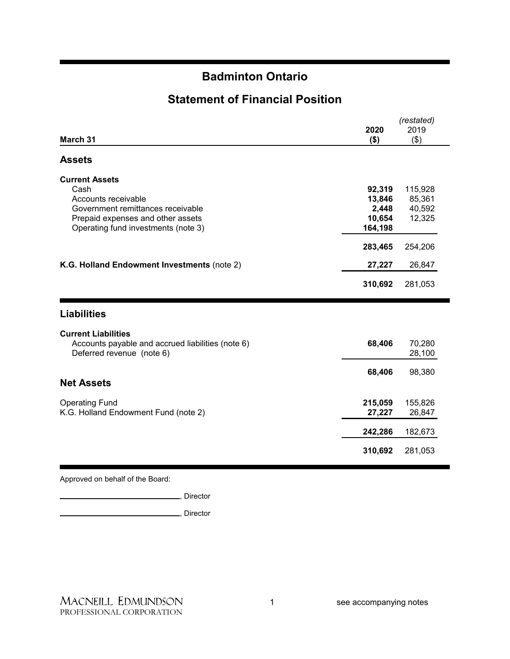### **Statement of Financial Position**

|                                                   | (restated) |         |
|---------------------------------------------------|------------|---------|
|                                                   | 2020       | 2019    |
| March 31                                          | $($ \$)    | (3)     |
| <b>Assets</b>                                     |            |         |
| <b>Current Assets</b>                             |            |         |
| Cash                                              | 92,319     | 115,928 |
| Accounts receivable                               | 13,846     | 85,361  |
| Government remittances receivable                 | 2,448      | 40,592  |
| Prepaid expenses and other assets                 | 10,654     | 12,325  |
| Operating fund investments (note 3)               | 164,198    |         |
|                                                   | 283,465    | 254,206 |
| K.G. Holland Endowment Investments (note 2)       | 27,227     | 26,847  |
|                                                   | 310,692    | 281,053 |
| <b>Liabilities</b>                                |            |         |
| <b>Current Liabilities</b>                        |            |         |
| Accounts payable and accrued liabilities (note 6) | 68,406     | 70,280  |
| Deferred revenue (note 6)                         |            | 28,100  |
|                                                   | 68,406     | 98,380  |
| <b>Net Assets</b>                                 |            |         |
| <b>Operating Fund</b>                             | 215,059    | 155,826 |
| K.G. Holland Endowment Fund (note 2)              | 27,227     | 26,847  |
|                                                   | 242,286    | 182,673 |
|                                                   | 310,692    | 281,053 |
|                                                   |            |         |

Approved on behalf of the Board:

, Director

**Marshall**, Director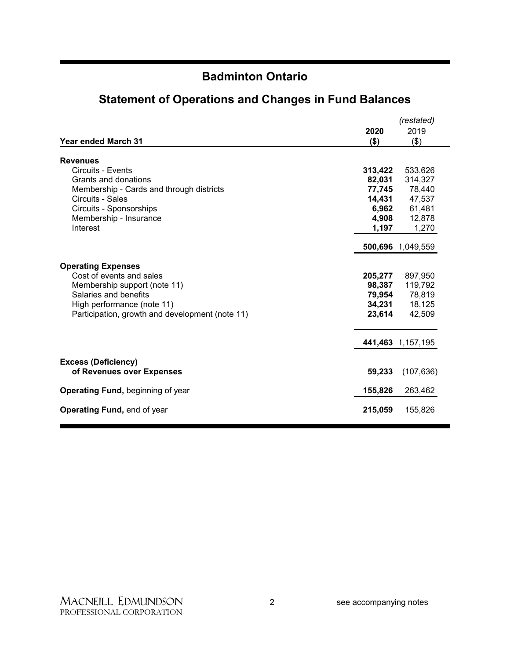|                                                         |         | (restated)        |
|---------------------------------------------------------|---------|-------------------|
|                                                         | 2020    | 2019              |
| <b>Year ended March 31</b>                              | \$)     | (3)               |
|                                                         |         |                   |
| <b>Revenues</b>                                         |         |                   |
| Circuits - Events                                       | 313,422 | 533,626           |
| Grants and donations                                    | 82,031  | 314,327           |
| Membership - Cards and through districts                | 77,745  | 78,440            |
| Circuits - Sales                                        | 14,431  | 47,537            |
| Circuits - Sponsorships                                 | 6,962   | 61,481            |
| Membership - Insurance                                  | 4,908   | 12,878            |
| Interest                                                | 1,197   | 1,270             |
|                                                         |         | 500,696 1,049,559 |
|                                                         |         |                   |
| <b>Operating Expenses</b>                               |         |                   |
| Cost of events and sales                                | 205,277 | 897,950           |
| Membership support (note 11)                            | 98,387  | 119,792           |
| Salaries and benefits                                   |         | 79,954 78,819     |
| High performance (note 11)                              | 34,231  | 18,125            |
| Participation, growth and development (note 11)         | 23,614  | 42,509            |
|                                                         |         |                   |
|                                                         |         | 441,463 1,157,195 |
|                                                         |         |                   |
| <b>Excess (Deficiency)</b><br>of Revenues over Expenses | 59,233  | (107, 636)        |
| Operating Fund, beginning of year                       | 155,826 | 263,462           |
| <b>Operating Fund, end of year</b>                      | 215,059 | 155,826           |
|                                                         |         |                   |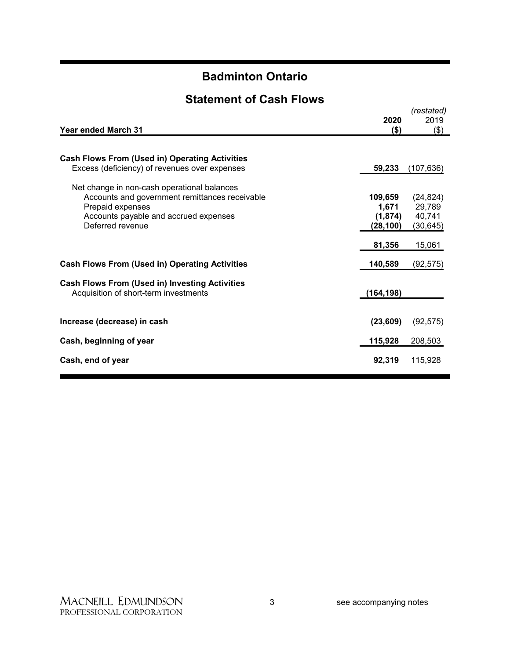### **Statement of Cash Flows**

| <b>Year ended March 31</b>                                                                                                                                                     | 2020<br>$($ \$)                          | (restated)<br>2019<br>\$)                  |
|--------------------------------------------------------------------------------------------------------------------------------------------------------------------------------|------------------------------------------|--------------------------------------------|
| <b>Cash Flows From (Used in) Operating Activities</b><br>Excess (deficiency) of revenues over expenses                                                                         | 59,233                                   | (107, 636)                                 |
| Net change in non-cash operational balances<br>Accounts and government remittances receivable<br>Prepaid expenses<br>Accounts payable and accrued expenses<br>Deferred revenue | 109,659<br>1,671<br>(1,874)<br>(28, 100) | (24, 824)<br>29,789<br>40,741<br>(30, 645) |
| <b>Cash Flows From (Used in) Operating Activities</b>                                                                                                                          | 81,356<br>140,589                        | 15,061<br>(92, 575)                        |
| <b>Cash Flows From (Used in) Investing Activities</b><br>Acquisition of short-term investments                                                                                 | (164, 198)                               |                                            |
| Increase (decrease) in cash                                                                                                                                                    | (23, 609)                                | (92, 575)                                  |
| Cash, beginning of year                                                                                                                                                        | 115,928                                  | 208,503                                    |
| Cash, end of year                                                                                                                                                              | 92,319                                   | 115,928                                    |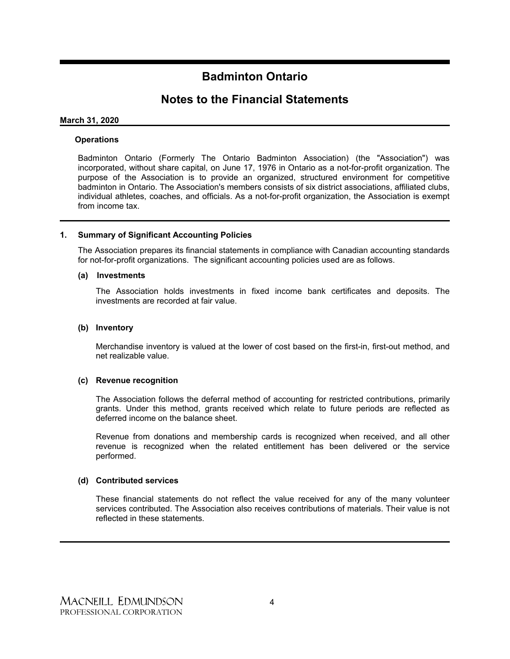### **Notes to the Financial Statements**

#### **March 31, 2020**

#### **Operations**

Badminton Ontario (Formerly The Ontario Badminton Association) (the "Association") was incorporated, without share capital, on June 17, 1976 in Ontario as a not-for-profit organization. The purpose of the Association is to provide an organized, structured environment for competitive badminton in Ontario. The Association's members consists of six district associations, affiliated clubs, individual athletes, coaches, and officials. As a not-for-profit organization, the Association is exempt from income tax.

#### **1. Summary of Significant Accounting Policies**

The Association prepares its financial statements in compliance with Canadian accounting standards for not-for-profit organizations. The significant accounting policies used are as follows.

#### **(a) Investments**

The Association holds investments in fixed income bank certificates and deposits. The investments are recorded at fair value.

#### **(b) Inventory**

Merchandise inventory is valued at the lower of cost based on the first-in, first-out method, and net realizable value.

#### **(c) Revenue recognition**

The Association follows the deferral method of accounting for restricted contributions, primarily grants. Under this method, grants received which relate to future periods are reflected as deferred income on the balance sheet.

Revenue from donations and membership cards is recognized when received, and all other revenue is recognized when the related entitlement has been delivered or the service performed.

#### **(d) Contributed services**

These financial statements do not reflect the value received for any of the many volunteer services contributed. The Association also receives contributions of materials. Their value is not reflected in these statements.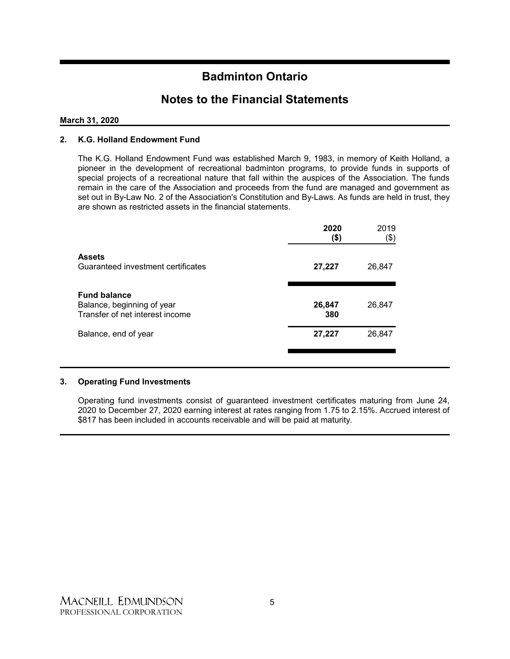### **Notes to the Financial Statements**

#### **March 31, 2020**

#### **2. K.G. Holland Endowment Fund**

The K.G. Holland Endowment Fund was established March 9, 1983, in memory of Keith Holland, a pioneer in the development of recreational badminton programs, to provide funds in supports of special projects of a recreational nature that fall within the auspices of the Association. The funds remain in the care of the Association and proceeds from the fund are managed and government as set out in By-Law No. 2 of the Association's Constitution and By-Laws. As funds are held in trust, they are shown as restricted assets in the financial statements.

|                                                                                      | 2020<br>(\$)  | 2019<br>(\$) |
|--------------------------------------------------------------------------------------|---------------|--------------|
| <b>Assets</b><br>Guaranteed investment certificates                                  | 27,227        | 26,847       |
| <b>Fund balance</b><br>Balance, beginning of year<br>Transfer of net interest income | 26,847<br>380 | 26,847       |
| Balance, end of year                                                                 | 27,227        | 26,847       |
|                                                                                      |               |              |

#### **3. Operating Fund Investments**

Operating fund investments consist of guaranteed investment certificates maturing from June 24, 2020 to December 27, 2020 earning interest at rates ranging from 1.75 to 2.15%. Accrued interest of \$817 has been included in accounts receivable and will be paid at maturity.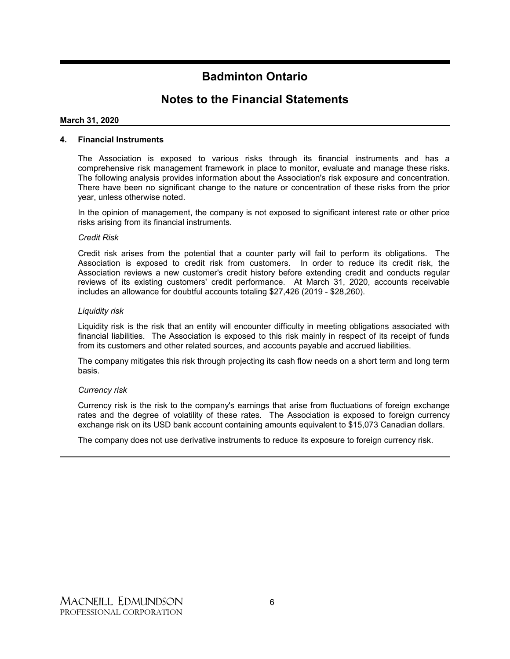### **Notes to the Financial Statements**

#### **March 31, 2020**

#### **4. Financial Instruments**

The Association is exposed to various risks through its financial instruments and has a comprehensive risk management framework in place to monitor, evaluate and manage these risks. The following analysis provides information about the Association's risk exposure and concentration. There have been no significant change to the nature or concentration of these risks from the prior year, unless otherwise noted.

In the opinion of management, the company is not exposed to significant interest rate or other price risks arising from its financial instruments.

#### *Credit Risk*

Credit risk arises from the potential that a counter party will fail to perform its obligations. The Association is exposed to credit risk from customers. In order to reduce its credit risk, the Association reviews a new customer's credit history before extending credit and conducts regular reviews of its existing customers' credit performance. At March 31, 2020, accounts receivable includes an allowance for doubtful accounts totaling \$27,426 (2019 - \$28,260).

#### *Liquidity risk*

Liquidity risk is the risk that an entity will encounter difficulty in meeting obligations associated with financial liabilities. The Association is exposed to this risk mainly in respect of its receipt of funds from its customers and other related sources, and accounts payable and accrued liabilities.

The company mitigates this risk through projecting its cash flow needs on a short term and long term basis.

#### *Currency risk*

Currency risk is the risk to the company's earnings that arise from fluctuations of foreign exchange rates and the degree of volatility of these rates. The Association is exposed to foreign currency exchange risk on its USD bank account containing amounts equivalent to \$15,073 Canadian dollars.

The company does not use derivative instruments to reduce its exposure to foreign currency risk.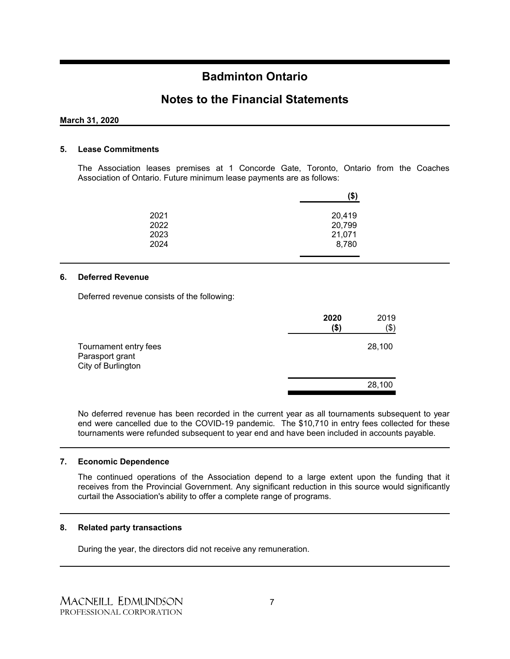### **Notes to the Financial Statements**

#### **March 31, 2020**

#### **5. Lease Commitments**

The Association leases premises at 1 Concorde Gate, Toronto, Ontario from the Coaches Association of Ontario. Future minimum lease payments are as follows:

|                      | (\$)                       |
|----------------------|----------------------------|
| 2021<br>2022<br>2023 | 20,419<br>20,799<br>21,071 |
| 2024                 | 8,780                      |

#### **6. Deferred Revenue**

Deferred revenue consists of the following:

|                                                                | 2020<br>(\$) | 2019<br>$(\$)$ |
|----------------------------------------------------------------|--------------|----------------|
| Tournament entry fees<br>Parasport grant<br>City of Burlington |              | 28,100         |
|                                                                |              | 28,100         |

No deferred revenue has been recorded in the current year as all tournaments subsequent to year end were cancelled due to the COVID-19 pandemic. The \$10,710 in entry fees collected for these tournaments were refunded subsequent to year end and have been included in accounts payable.

#### **7. Economic Dependence**

The continued operations of the Association depend to a large extent upon the funding that it receives from the Provincial Government. Any significant reduction in this source would significantly curtail the Association's ability to offer a complete range of programs.

#### **8. Related party transactions**

During the year, the directors did not receive any remuneration.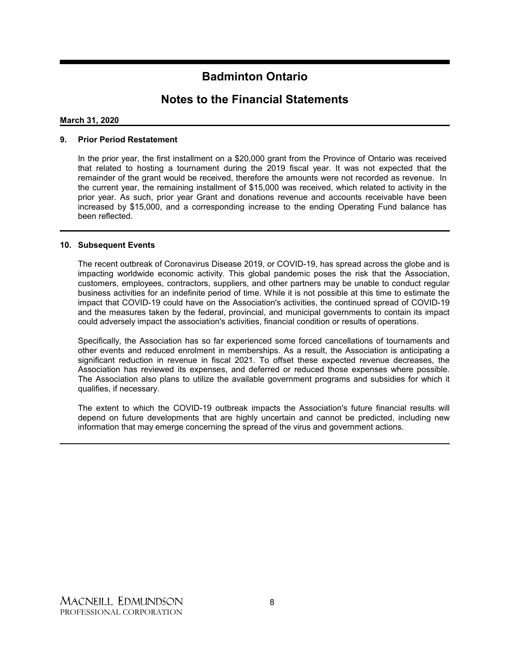### **Notes to the Financial Statements**

#### **March 31, 2020**

#### **9. Prior Period Restatement**

In the prior year, the first installment on a \$20,000 grant from the Province of Ontario was received that related to hosting a tournament during the 2019 fiscal year. It was not expected that the remainder of the grant would be received, therefore the amounts were not recorded as revenue. In the current year, the remaining installment of \$15,000 was received, which related to activity in the prior year. As such, prior year Grant and donations revenue and accounts receivable have been increased by \$15,000, and a corresponding increase to the ending Operating Fund balance has been reflected.

#### **10. Subsequent Events**

The recent outbreak of Coronavirus Disease 2019, or COVID-19, has spread across the globe and is impacting worldwide economic activity. This global pandemic poses the risk that the Association, customers, employees, contractors, suppliers, and other partners may be unable to conduct regular business activities for an indefinite period of time. While it is not possible at this time to estimate the impact that COVID-19 could have on the Association's activities, the continued spread of COVID-19 and the measures taken by the federal, provincial, and municipal governments to contain its impact could adversely impact the association's activities, financial condition or results of operations.

Specifically, the Association has so far experienced some forced cancellations of tournaments and other events and reduced enrolment in memberships. As a result, the Association is anticipating a significant reduction in revenue in fiscal 2021. To offset these expected revenue decreases, the Association has reviewed its expenses, and deferred or reduced those expenses where possible. The Association also plans to utilize the available government programs and subsidies for which it qualifies, if necessary.

The extent to which the COVID-19 outbreak impacts the Association's future financial results will depend on future developments that are highly uncertain and cannot be predicted, including new information that may emerge concerning the spread of the virus and government actions.